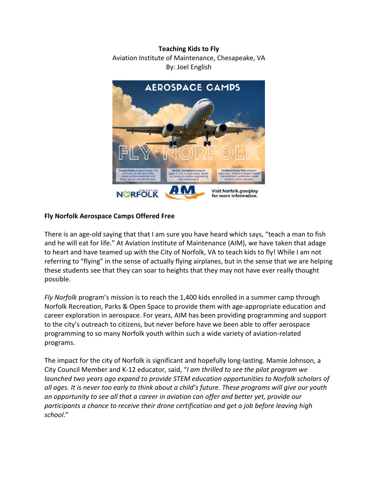## **Teaching Kids to Fly**

## Aviation Institute of Maintenance, Chesapeake, VA By: Joel English



## **Fly Norfolk Aerospace Camps Offered Free**

There is an age-old saying that that I am sure you have heard which says, "teach a man to fish and he will eat for life." At Aviation Institute of Maintenance (AIM), we have taken that adage to heart and have teamed up with the City of Norfolk, VA to teach kids to fly! While I am not referring to "flying" in the sense of actually flying airplanes, but in the sense that we are helping these students see that they can soar to heights that they may not have ever really thought possible.

*Fly Norfolk* program's mission is to reach the 1,400 kids enrolled in a summer camp through Norfolk Recreation, Parks & Open Space to provide them with age‐appropriate education and career exploration in aerospace. For years, AIM has been providing programming and support to the city's outreach to citizens, but never before have we been able to offer aerospace programming to so many Norfolk youth within such a wide variety of aviation‐related programs.

The impact for the city of Norfolk is significant and hopefully long‐lasting. Mamie Johnson, a City Council Member and K‐12 educator, said, "*I am thrilled to see the pilot program we launched two years ago expand to provide STEM education opportunities to Norfolk scholars of* all ages. It is never too early to think about a child's future. These programs will give our youth *an opportunity to see all that a career in aviation can offer and better yet, provide our participants a chance to receive their drone certification and get a job before leaving high school*."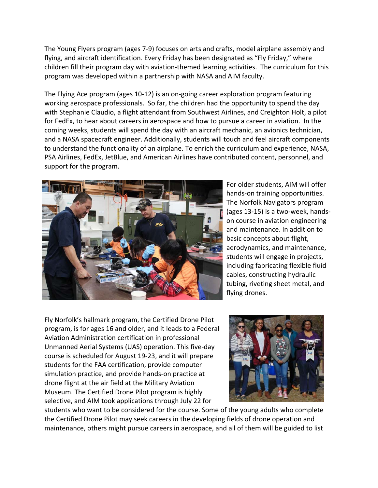The Young Flyers program (ages 7‐9) focuses on arts and crafts, model airplane assembly and flying, and aircraft identification. Every Friday has been designated as "Fly Friday," where children fill their program day with aviation‐themed learning activities. The curriculum for this program was developed within a partnership with NASA and AIM faculty.

The Flying Ace program (ages 10‐12) is an on‐going career exploration program featuring working aerospace professionals. So far, the children had the opportunity to spend the day with Stephanie Claudio, a flight attendant from Southwest Airlines, and Creighton Holt, a pilot for FedEx, to hear about careers in aerospace and how to pursue a career in aviation. In the coming weeks, students will spend the day with an aircraft mechanic, an avionics technician, and a NASA spacecraft engineer. Additionally, students will touch and feel aircraft components to understand the functionality of an airplane. To enrich the curriculum and experience, NASA, PSA Airlines, FedEx, JetBlue, and American Airlines have contributed content, personnel, and support for the program.



For older students, AIM will offer hands‐on training opportunities. The Norfolk Navigators program (ages 13‐15) is a two‐week, hands‐ on course in aviation engineering and maintenance. In addition to basic concepts about flight, aerodynamics, and maintenance, students will engage in projects, including fabricating flexible fluid cables, constructing hydraulic tubing, riveting sheet metal, and flying drones.

Fly Norfolk's hallmark program, the Certified Drone Pilot program, is for ages 16 and older, and it leads to a Federal Aviation Administration certification in professional Unmanned Aerial Systems (UAS) operation. This five‐day course is scheduled for August 19‐23, and it will prepare students for the FAA certification, provide computer simulation practice, and provide hands‐on practice at drone flight at the air field at the Military Aviation Museum. The Certified Drone Pilot program is highly selective, and AIM took applications through July 22 for



students who want to be considered for the course. Some of the young adults who complete the Certified Drone Pilot may seek careers in the developing fields of drone operation and maintenance, others might pursue careers in aerospace, and all of them will be guided to list